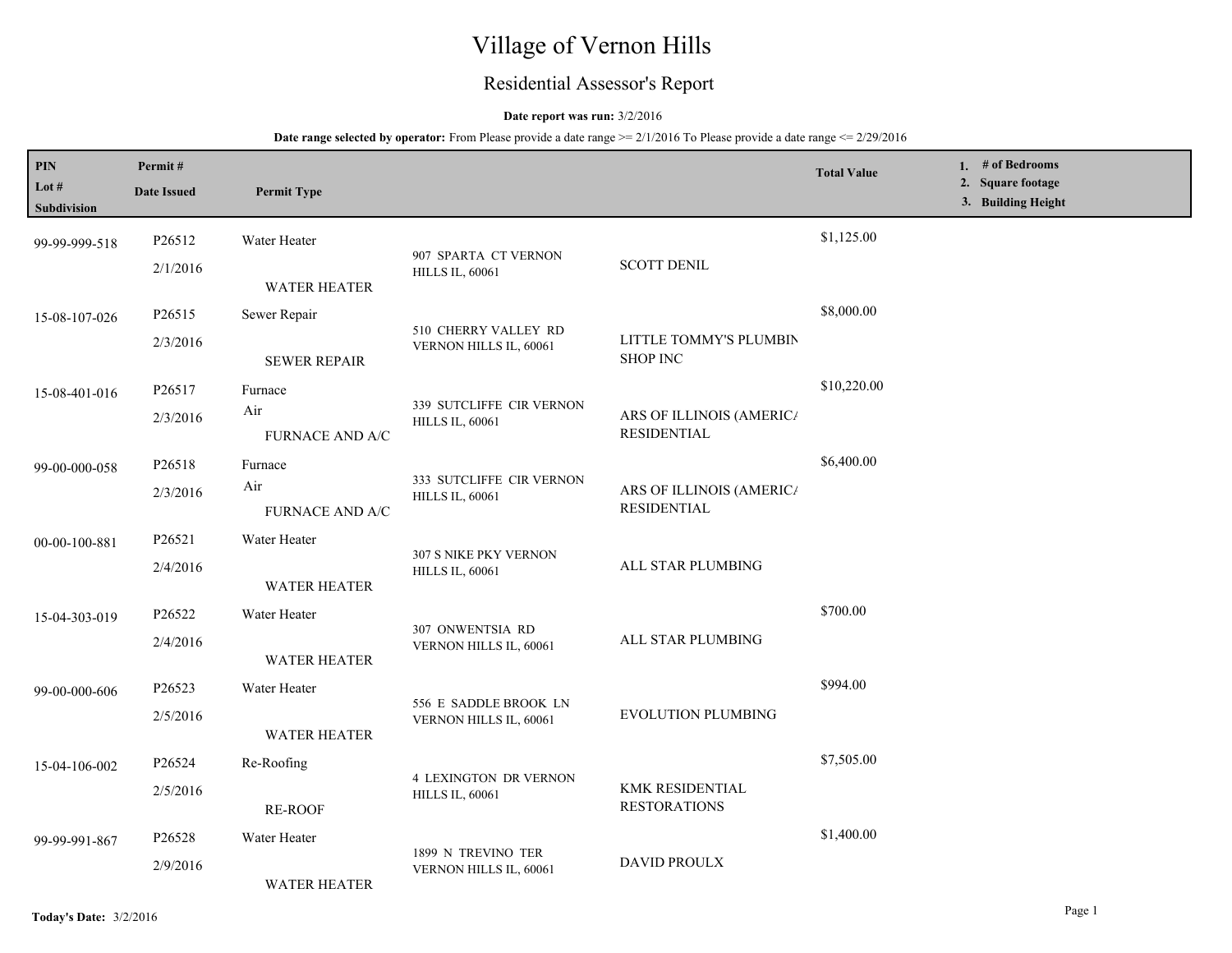# Village of Vernon Hills

## Residential Assessor's Report

#### **Date report was run:** 3/2/2016

#### **Date range selected by operator:** From Please provide a date range  $\ge 2/1/2016$  To Please provide a date range  $\le 2/29/2016$

| PIN<br>Lot #<br><b>Subdivision</b> | Permit#<br><b>Date Issued</b> | <b>Permit Type</b>                                         |                                                        |                                                | <b>Total Value</b> | 1. $#$ of Bedrooms<br>2. Square footage<br>3. Building Height |
|------------------------------------|-------------------------------|------------------------------------------------------------|--------------------------------------------------------|------------------------------------------------|--------------------|---------------------------------------------------------------|
| 99-99-999-518                      | P26512<br>2/1/2016            | Water Heater                                               | 907 SPARTA CT VERNON<br><b>HILLS IL, 60061</b>         | <b>SCOTT DENIL</b>                             | \$1,125.00         |                                                               |
| 15-08-107-026                      | P26515<br>2/3/2016            | <b>WATER HEATER</b><br>Sewer Repair<br><b>SEWER REPAIR</b> | 510 CHERRY VALLEY RD<br>VERNON HILLS IL, 60061         | LITTLE TOMMY'S PLUMBIN<br><b>SHOP INC</b>      | \$8,000.00         |                                                               |
| 15-08-401-016                      | P26517<br>2/3/2016            | Furnace<br>Air<br>FURNACE AND A/C                          | 339 SUTCLIFFE CIR VERNON<br><b>HILLS IL, 60061</b>     | ARS OF ILLINOIS (AMERICA<br><b>RESIDENTIAL</b> | \$10,220.00        |                                                               |
| 99-00-000-058                      | P26518<br>2/3/2016            | Furnace<br>Air<br><b>FURNACE AND A/C</b>                   | 333 SUTCLIFFE CIR VERNON<br><b>HILLS IL, 60061</b>     | ARS OF ILLINOIS (AMERICA<br><b>RESIDENTIAL</b> | \$6,400.00         |                                                               |
| 00-00-100-881                      | P26521<br>2/4/2016            | Water Heater<br><b>WATER HEATER</b>                        | 307 S NIKE PKY VERNON<br><b>HILLS IL, 60061</b>        | ALL STAR PLUMBING                              |                    |                                                               |
| 15-04-303-019                      | P26522<br>2/4/2016            | Water Heater<br><b>WATER HEATER</b>                        | 307 ONWENTSIA RD<br>VERNON HILLS IL, 60061             | ALL STAR PLUMBING                              | \$700.00           |                                                               |
| 99-00-000-606                      | P26523<br>2/5/2016            | Water Heater<br><b>WATER HEATER</b>                        | 556 E SADDLE BROOK LN<br>VERNON HILLS IL, 60061        | <b>EVOLUTION PLUMBING</b>                      | \$994.00           |                                                               |
| 15-04-106-002                      | P26524<br>2/5/2016            | Re-Roofing<br><b>RE-ROOF</b>                               | <b>4 LEXINGTON DR VERNON</b><br><b>HILLS IL, 60061</b> | <b>KMK RESIDENTIAL</b><br><b>RESTORATIONS</b>  | \$7,505.00         |                                                               |
| 99-99-991-867                      | P26528<br>2/9/2016            | Water Heater<br><b>WATER HEATER</b>                        | 1899 N TREVINO TER<br>VERNON HILLS IL, 60061           | <b>DAVID PROULX</b>                            | \$1,400.00         |                                                               |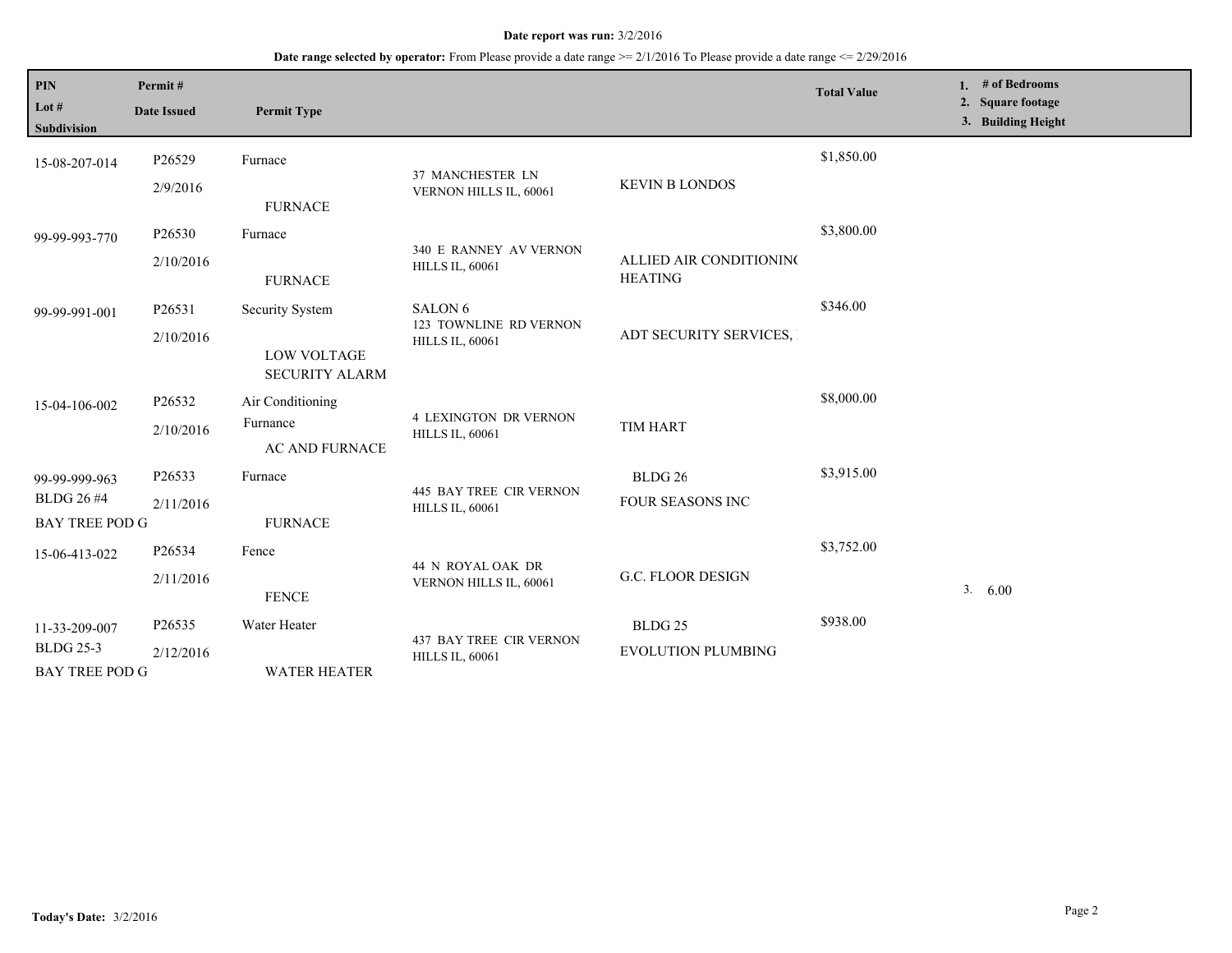#### **Date report was run:** 3/2/2016

## **Date range selected by operator:** From Please provide a date range >= 2/1/2016 To Please provide a date range <= 2/29/2016

| PIN<br>Lot #<br><b>Subdivision</b>                          | Permit#<br><b>Date Issued</b>  | <b>Permit Type</b>                                                    |                                                                        |                                                 | <b>Total Value</b> | 1. # of Bedrooms<br>2. Square footage<br>3. Building Height |
|-------------------------------------------------------------|--------------------------------|-----------------------------------------------------------------------|------------------------------------------------------------------------|-------------------------------------------------|--------------------|-------------------------------------------------------------|
| 15-08-207-014                                               | P <sub>26529</sub><br>2/9/2016 | Furnace<br><b>FURNACE</b>                                             | 37 MANCHESTER LN<br>VERNON HILLS IL, 60061                             | <b>KEVIN B LONDOS</b>                           | \$1,850.00         |                                                             |
| 99-99-993-770                                               | P26530<br>2/10/2016            | Furnace<br><b>FURNACE</b>                                             | 340 E RANNEY AV VERNON<br><b>HILLS IL, 60061</b>                       | ALLIED AIR CONDITIONING<br><b>HEATING</b>       | \$3,800.00         |                                                             |
| 99-99-991-001                                               | P26531<br>2/10/2016            | <b>Security System</b><br><b>LOW VOLTAGE</b><br><b>SECURITY ALARM</b> | SALON <sub>6</sub><br>123 TOWNLINE RD VERNON<br><b>HILLS IL, 60061</b> | ADT SECURITY SERVICES,                          | \$346.00           |                                                             |
| 15-04-106-002                                               | P26532<br>2/10/2016            | Air Conditioning<br>Furnance<br>AC AND FURNACE                        | <b>4 LEXINGTON DR VERNON</b><br><b>HILLS IL, 60061</b>                 | TIM HART                                        | \$8,000.00         |                                                             |
| 99-99-999-963<br><b>BLDG 26 #4</b><br><b>BAY TREE POD G</b> | P26533<br>2/11/2016            | Furnace<br><b>FURNACE</b>                                             | <b>445 BAY TREE CIR VERNON</b><br><b>HILLS IL, 60061</b>               | BLDG <sub>26</sub><br>FOUR SEASONS INC          | \$3,915.00         |                                                             |
| 15-06-413-022                                               | P26534<br>2/11/2016            | Fence<br><b>FENCE</b>                                                 | 44 N ROYAL OAK DR<br>VERNON HILLS IL, 60061                            | G.C. FLOOR DESIGN                               | \$3,752.00         | 3.<br>6.00                                                  |
| 11-33-209-007<br><b>BLDG 25-3</b><br><b>BAY TREE POD G</b>  | P26535<br>2/12/2016            | Water Heater<br><b>WATER HEATER</b>                                   | <b>437 BAY TREE CIR VERNON</b><br><b>HILLS IL, 60061</b>               | BLDG <sub>25</sub><br><b>EVOLUTION PLUMBING</b> | \$938.00           |                                                             |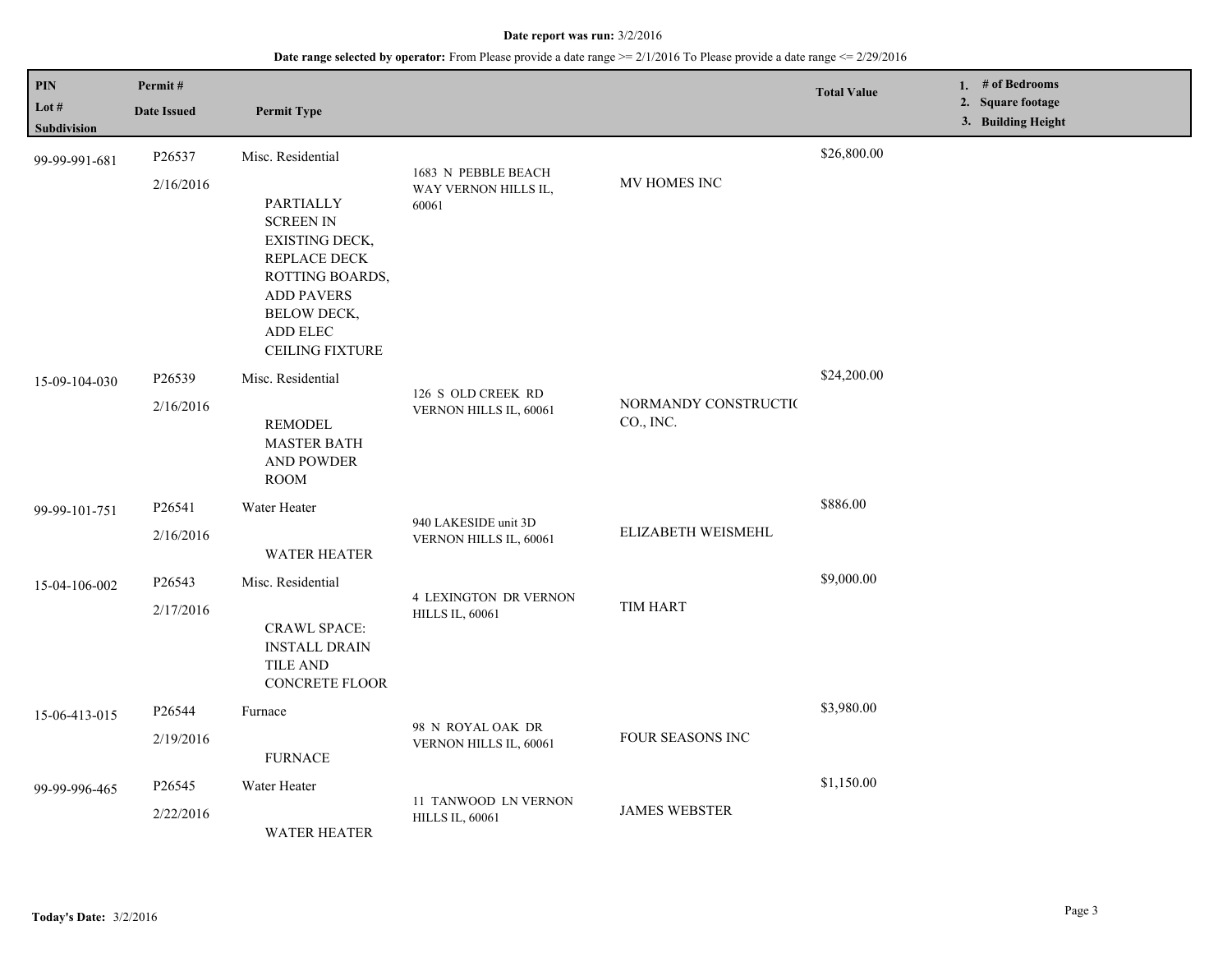#### **Date report was run:** 3/2/2016

## **Date range selected by operator:** From Please provide a date range >= 2/1/2016 To Please provide a date range <= 2/29/2016

| PIN<br>Lot #       | Permit#<br><b>Date Issued</b> | <b>Permit Type</b>                                                                                                                                                  |                                                        |                                   | <b>Total Value</b> | 1. # of Bedrooms<br>2. Square footage<br>3. Building Height |
|--------------------|-------------------------------|---------------------------------------------------------------------------------------------------------------------------------------------------------------------|--------------------------------------------------------|-----------------------------------|--------------------|-------------------------------------------------------------|
| <b>Subdivision</b> |                               |                                                                                                                                                                     |                                                        |                                   | \$26,800.00        |                                                             |
| 99-99-991-681      | P26537                        | Misc. Residential                                                                                                                                                   | 1683 N PEBBLE BEACH                                    |                                   |                    |                                                             |
|                    | 2/16/2016                     | PARTIALLY<br><b>SCREEN IN</b><br>EXISTING DECK,<br>REPLACE DECK<br>ROTTING BOARDS,<br><b>ADD PAVERS</b><br><b>BELOW DECK,</b><br>ADD ELEC<br><b>CEILING FIXTURE</b> | WAY VERNON HILLS IL,<br>60061                          | MV HOMES INC                      |                    |                                                             |
| 15-09-104-030      | P26539                        | Misc. Residential                                                                                                                                                   |                                                        | NORMANDY CONSTRUCTIO<br>CO., INC. | \$24,200.00        |                                                             |
|                    | 2/16/2016                     | <b>REMODEL</b><br><b>MASTER BATH</b><br>AND POWDER<br><b>ROOM</b>                                                                                                   | 126 S OLD CREEK RD<br>VERNON HILLS IL, 60061           |                                   |                    |                                                             |
| 99-99-101-751      | P26541                        | Water Heater                                                                                                                                                        | 940 LAKESIDE unit 3D<br>VERNON HILLS IL, 60061         | ELIZABETH WEISMEHL                | \$886.00           |                                                             |
|                    | 2/16/2016                     | <b>WATER HEATER</b>                                                                                                                                                 |                                                        |                                   |                    |                                                             |
| 15-04-106-002      | P26543                        | Misc. Residential                                                                                                                                                   | <b>4 LEXINGTON DR VERNON</b><br><b>HILLS IL, 60061</b> | <b>TIM HART</b>                   | \$9,000.00         |                                                             |
|                    | 2/17/2016                     | <b>CRAWL SPACE:</b><br><b>INSTALL DRAIN</b><br>TILE AND<br><b>CONCRETE FLOOR</b>                                                                                    |                                                        |                                   |                    |                                                             |
| 15-06-413-015      | P26544                        | Furnace                                                                                                                                                             | 98 N ROYAL OAK DR<br>VERNON HILLS IL, 60061            | FOUR SEASONS INC                  | \$3,980.00         |                                                             |
|                    | 2/19/2016                     | <b>FURNACE</b>                                                                                                                                                      |                                                        |                                   |                    |                                                             |
| 99-99-996-465      | P26545                        | Water Heater                                                                                                                                                        |                                                        | <b>JAMES WEBSTER</b>              | \$1,150.00         |                                                             |
|                    | 2/22/2016                     | <b>WATER HEATER</b>                                                                                                                                                 | 11 TANWOOD LN VERNON<br><b>HILLS IL, 60061</b>         |                                   |                    |                                                             |